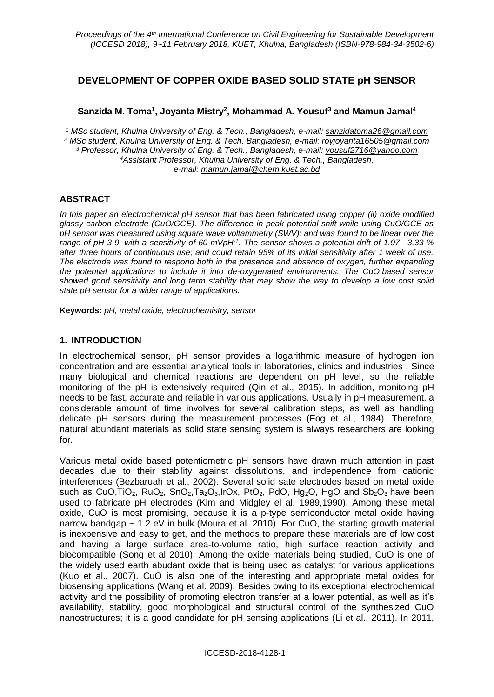# **DEVELOPMENT OF COPPER OXIDE BASED SOLID STATE pH SENSOR**

### **Sanzida M. Toma<sup>1</sup> , Joyanta Mistry<sup>2</sup> , Mohammad A. Yousuf<sup>3</sup> and Mamun Jamal<sup>4</sup>**

 *MSc student, Khulna University of Eng. & Tech., Bangladesh, e-mail: [sanzidatoma26@gmail.com](mailto:sanzidatoma26@gmail.com) MSc student, Khulna University of Eng. & Tech. Bangladesh, e-mail: [royjoyanta16505@gmail.com](mailto:royjoyanta16505@gmail.com) Professor, Khulna University of Eng. & Tech., Bangladesh, e-mail: [yousuf2](mailto:xx3@yy4.com)716@yahoo.com Assistant Professor, Khulna University of Eng. & Tech., Bangladesh, e-mail: [mamun.jamal@chem.kuet.ac.bd](mailto:mamun.jamal@chem.kuet.ac.bd)*

### **ABSTRACT**

*In this paper an electrochemical pH sensor that has been fabricated using copper (ii) oxide modified glassy carbon electrode (CuO/GCE). The difference in peak potential shift while using CuO/GCE as pH sensor was measured using square wave voltammetry (SWV); and was found to be linear over the range of pH 3-9, with a sensitivity of 60 mVpH-1 . The sensor shows a potential drift of 1.97 –3.33 % after three hours of continuous use; and could retain 95% of its initial sensitivity after 1 week of use. The electrode was found to respond both in the presence and absence of oxygen, further expanding the potential applications to include it into de-oxygenated environments. The CuO based sensor showed good sensitivity and long term stability that may show the way to develop a low cost solid state pH sensor for a wider range of applications.*

**Keywords:** *pH, metal oxide, electrochemistry, sensor*

### **1. INTRODUCTION**

In electrochemical sensor, pH sensor provides a logarithmic measure of hydrogen ion concentration and are essential analytical tools in laboratories, clinics and industries . Since many biological and chemical reactions are dependent on pH level, so the reliable monitoring of the pH is extensively required (Qin et al., 2015). In addition, monitoing pH needs to be fast, accurate and reliable in various applications. Usually in pH measurement, a considerable amount of time involves for several calibration steps, as well as handling delicate pH sensors during the measurement processes (Fog et al., 1984). Therefore, natural abundant materials as solid state sensing system is always researchers are looking for.

Various metal oxide based potentiometric pH sensors have drawn much attention in past decades due to their stability against dissolutions, and independence from cationic interferences (Bezbaruah et al., 2002). Several solid sate electrodes based on metal oxide such as CuO,TiO<sub>2</sub>, RuO<sub>2</sub>, SnO<sub>2</sub>,Ta<sub>2</sub>O<sub>3</sub>,IrOx, PtO<sub>2</sub>, PdO, Hg<sub>2</sub>O, HgO and Sb<sub>2</sub>O<sub>3</sub> have been used to fabricate pH electrodes (Kim and Midgley el al. 1989,1990). Among these metal oxide, CuO is most promising, because it is a p-type semiconductor metal oxide having narrow bandgap  $\sim$  1.2 eV in bulk (Moura et al. 2010). For CuO, the starting growth material is inexpensive and easy to get, and the methods to prepare these materials are of low cost and having a large surface area-to-volume ratio, high surface reaction activity and biocompatible (Song et al 2010). Among the oxide materials being studied, CuO is one of the widely used earth abudant oxide that is being used as catalyst for various applications (Kuo et al., 2007). CuO is also one of the interesting and appropriate metal oxides for biosensing applications (Wang et al. 2009). Besides owing to its exceptional electrochemical activity and the possibility of promoting electron transfer at a lower potential, as well as it's availability, stability, good morphological and structural control of the synthesized CuO nanostructures; it is a good candidate for pH sensing applications (Li et al., 2011). In 2011,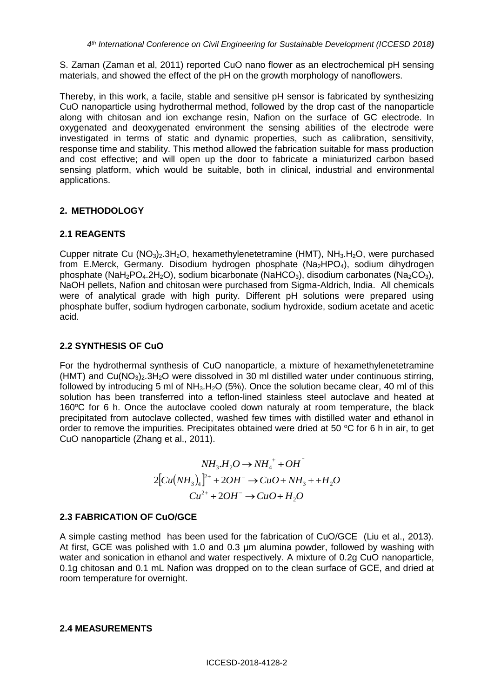S. Zaman (Zaman et al, 2011) reported CuO nano flower as an electrochemical pH sensing materials, and showed the effect of the pH on the growth morphology of nanoflowers.

Thereby, in this work, a facile, stable and sensitive pH sensor is fabricated by synthesizing CuO nanoparticle using hydrothermal method, followed by the drop cast of the nanoparticle along with chitosan and ion exchange resin, Nafion on the surface of GC electrode. In oxygenated and deoxygenated environment the sensing abilities of the electrode were investigated in terms of static and dynamic properties, such as calibration, sensitivity, response time and stability. This method allowed the fabrication suitable for mass production and cost effective; and will open up the door to fabricate a miniaturized carbon based sensing platform, which would be suitable, both in clinical, industrial and environmental applications.

## **2. METHODOLOGY**

## **2.1 REAGENTS**

Cupper nitrate Cu  $(NO<sub>3</sub>)<sub>2</sub>$ .3H<sub>2</sub>O, hexamethylenetetramine  $(HMT)$ , NH<sub>3</sub>.H<sub>2</sub>O, were purchased from E.Merck, Germany. Disodium hydrogen phosphate (Na<sub>2</sub>HPO<sub>4</sub>), sodium dihydrogen phosphate (NaH<sub>2</sub>PO<sub>4</sub>.2H<sub>2</sub>O), sodium bicarbonate (NaHCO<sub>3</sub>), disodium carbonates (Na<sub>2</sub>CO<sub>3</sub>), NaOH pellets, Nafion and chitosan were purchased from Sigma-Aldrich, India. All chemicals were of analytical grade with high purity. Different pH solutions were prepared using phosphate buffer, sodium hydrogen carbonate, sodium hydroxide, sodium acetate and acetic acid.

## **2.2 SYNTHESIS OF CuO**

For the hydrothermal synthesis of CuO nanoparticle, a mixture of hexamethylenetetramine (HMT) and Cu(NO3)2.3H2O were dissolved in 30 ml distilled water under continuous stirring, followed by introducing 5 ml of  $NH<sub>3</sub>H<sub>2</sub>O$  (5%). Once the solution became clear, 40 ml of this solution has been transferred into a teflon-lined stainless steel autoclave and heated at 160°C for 6 h. Once the autoclave cooled down naturaly at room temperature, the black precipitated from autoclave collected, washed few times with distilled water and ethanol in order to remove the impurities. Precipitates obtained were dried at 50  $\degree$ C for 6 h in air, to get CuO nanoparticle (Zhang et al., 2011).

$$
NH_3.H_2O \to NH_4^+ + OH^-
$$
  
2[Cu(NH<sub>3</sub>)<sub>4</sub>]<sup>2+</sup> + 2OH^-  $\to CuO + NH_3 + H_2O$   

$$
Cu^{2+} + 2OH^- \to CuO + H_2O
$$

### **2.3 FABRICATION OF CuO/GCE**

A simple casting method has been used for the fabrication of CuO/GCE (Liu et al., 2013). At first, GCE was polished with 1.0 and 0.3 µm alumina powder, followed by washing with water and sonication in ethanol and water respectively. A mixture of 0.2g CuO nanoparticle, 0.1g chitosan and 0.1 mL Nafion was dropped on to the clean surface of GCE, and dried at room temperature for overnight.

#### **2.4 MEASUREMENTS**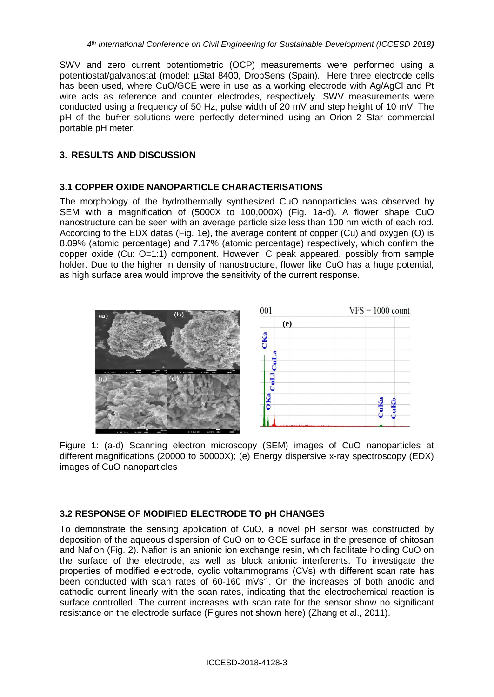SWV and zero current potentiometric (OCP) measurements were performed using a potentiostat/galvanostat (model: µStat 8400, DropSens (Spain). Here three electrode cells has been used, where CuO/GCE were in use as a working electrode with Ag/AgCl and Pt wire acts as reference and counter electrodes, respectively. SWV measurements were conducted using a frequency of 50 Hz, pulse width of 20 mV and step height of 10 mV. The pH of the buffer solutions were perfectly determined using an Orion 2 Star commercial portable pH meter.

### **3. RESULTS AND DISCUSSION**

### **3.1 COPPER OXIDE NANOPARTICLE CHARACTERISATIONS**

The morphology of the hydrothermally synthesized CuO nanoparticles was observed by SEM with a magnification of (5000X to 100,000X) (Fig. 1a-d). A flower shape CuO nanostructure can be seen with an average particle size less than 100 nm width of each rod. According to the EDX datas (Fig. 1e), the average content of copper (Cu) and oxygen (O) is 8.09% (atomic percentage) and 7.17% (atomic percentage) respectively, which confirm the copper oxide (Cu: O=1:1) component. However, C peak appeared, possibly from sample holder. Due to the higher in density of nanostructure, flower like CuO has a huge potential, as high surface area would improve the sensitivity of the current response.



Figure 1: (a-d) Scanning electron microscopy (SEM) images of CuO nanoparticles at different magnifications (20000 to 50000X); (e) Energy dispersive x-ray spectroscopy (EDX) images of CuO nanoparticles

### **3.2 RESPONSE OF MODIFIED ELECTRODE TO pH CHANGES**

To demonstrate the sensing application of CuO, a novel pH sensor was constructed by deposition of the aqueous dispersion of CuO on to GCE surface in the presence of chitosan and Nafion (Fig. 2). Nafion is an anionic ion exchange resin, which facilitate holding CuO on the surface of the electrode, as well as block anionic interferents. To investigate the properties of modified electrode, cyclic voltammograms (CVs) with different scan rate has been conducted with scan rates of  $60-160$  mVs $1$ . On the increases of both anodic and cathodic current linearly with the scan rates, indicating that the electrochemical reaction is surface controlled. The current increases with scan rate for the sensor show no significant resistance on the electrode surface (Figures not shown here) (Zhang et al., 2011).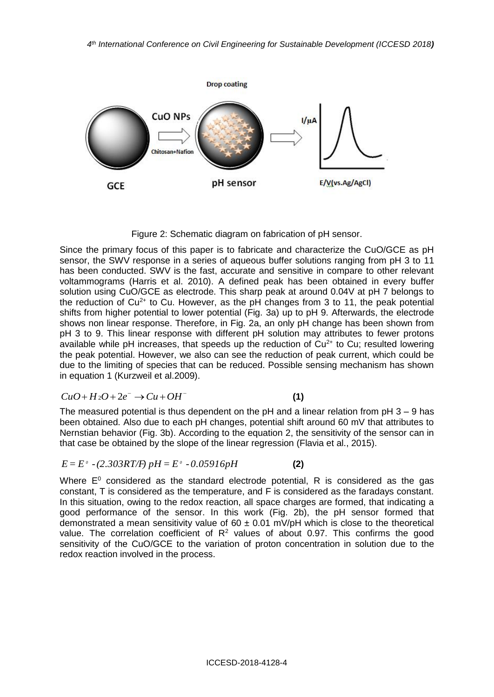

Figure 2: Schematic diagram on fabrication of pH sensor.

Since the primary focus of this paper is to fabricate and characterize the CuO/GCE as pH sensor, the SWV response in a series of aqueous buffer solutions ranging from pH 3 to 11 has been conducted. SWV is the fast, accurate and sensitive in compare to other relevant voltammograms (Harris et al. 2010). A defined peak has been obtained in every buffer solution using CuO/GCE as electrode. This sharp peak at around 0.04V at pH 7 belongs to the reduction of  $Cu^{2+}$  to Cu. However, as the pH changes from 3 to 11, the peak potential shifts from higher potential to lower potential (Fig. 3a) up to pH 9. Afterwards, the electrode shows non linear response. Therefore, in Fig. 2a, an only pH change has been shown from pH 3 to 9. This linear response with different pH solution may attributes to fewer protons available while pH increases, that speeds up the reduction of  $Cu<sup>2+</sup>$  to Cu; resulted lowering the peak potential. However, we also can see the reduction of peak current, which could be due to the limiting of species that can be reduced. Possible sensing mechanism has shown in equation 1 (Kurzweil et al.2009).

$$
CuO + H2O + 2e- \rightarrow Cu + OH-
$$
 (1)

The measured potential is thus dependent on the pH and a linear relation from  $pH$  3 – 9 has been obtained. Also due to each pH changes, potential shift around 60 mV that attributes to Nernstian behavior (Fig. 3b). According to the equation 2, the sensitivity of the sensor can in that case be obtained by the slope of the linear regression (Flavia et al., 2015).

$$
E = E^{\circ} - (2.303RT/F) \ pH = E^{\circ} - 0.05916 pH \tag{2}
$$

Where  $E^0$  considered as the standard electrode potential, R is considered as the gas constant, T is considered as the temperature, and F is considered as the faradays constant. In this situation, owing to the redox reaction, all space charges are formed, that indicating a good performance of the sensor. In this work (Fig. 2b), the pH sensor formed that demonstrated a mean sensitivity value of  $60 \pm 0.01$  mV/pH which is close to the theoretical value. The correlation coefficient of  $R^2$  values of about 0.97. This confirms the good sensitivity of the CuO/GCE to the variation of proton concentration in solution due to the redox reaction involved in the process.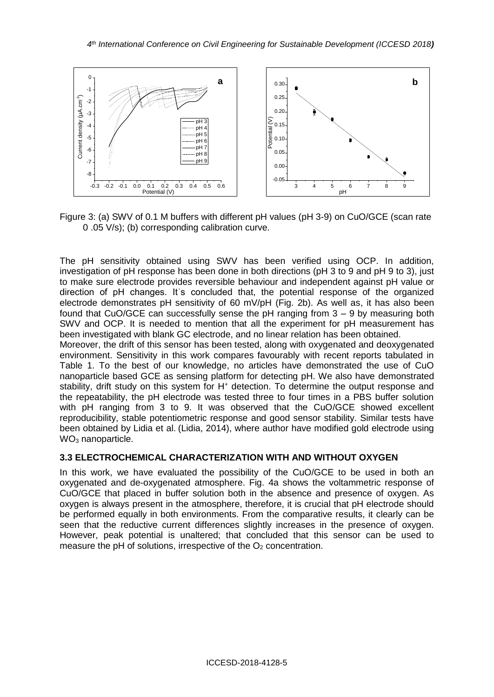

Figure 3: (a) SWV of 0.1 M buffers with different pH values (pH 3-9) on CuO/GCE (scan rate 0 .05 V/s); (b) corresponding calibration curve.

The pH sensitivity obtained using SWV has been verified using OCP. In addition, investigation of pH response has been done in both directions (pH 3 to 9 and pH 9 to 3), just to make sure electrode provides reversible behaviour and independent against pH value or direction of pH changes. Itʾs concluded that, the potential response of the organized electrode demonstrates pH sensitivity of 60 mV/pH (Fig. 2b). As well as, it has also been found that CuO/GCE can successfully sense the pH ranging from 3 – 9 by measuring both SWV and OCP. It is needed to mention that all the experiment for pH measurement has been investigated with blank GC electrode, and no linear relation has been obtained.

Moreover, the drift of this sensor has been tested, along with oxygenated and deoxygenated environment. Sensitivity in this work compares favourably with recent reports tabulated in Table 1. To the best of our knowledge, no articles have demonstrated the use of CuO nanoparticle based GCE as sensing platform for detecting pH. We also have demonstrated stability, drift study on this system for H<sup>+</sup> detection. To determine the output response and the repeatability, the pH electrode was tested three to four times in a PBS buffer solution with pH ranging from 3 to 9. It was observed that the CuO/GCE showed excellent reproducibility, stable potentiometric response and good sensor stability. Similar tests have been obtained by Lidia et al. (Lidia, 2014), where author have modified gold electrode using  $WO<sub>3</sub>$  nanoparticle.

### **3.3 ELECTROCHEMICAL CHARACTERIZATION WITH AND WITHOUT OXYGEN**

In this work, we have evaluated the possibility of the CuO/GCE to be used in both an oxygenated and de-oxygenated atmosphere. Fig. 4a shows the voltammetric response of CuO/GCE that placed in buffer solution both in the absence and presence of oxygen. As oxygen is always present in the atmosphere, therefore, it is crucial that pH electrode should be performed equally in both environments. From the comparative results, it clearly can be seen that the reductive current differences slightly increases in the presence of oxygen. However, peak potential is unaltered; that concluded that this sensor can be used to measure the pH of solutions, irrespective of the  $O<sub>2</sub>$  concentration.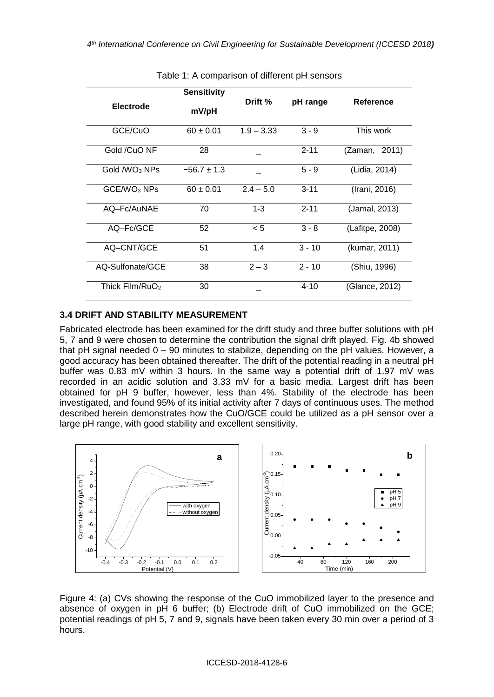| <b>Electrode</b>            | <b>Sensitivity</b><br>mV/pH | Drift %      | pH range | Reference       |
|-----------------------------|-----------------------------|--------------|----------|-----------------|
| GCE/CuO                     | $60 \pm 0.01$               | $1.9 - 3.33$ | $3 - 9$  | This work       |
| Gold /CuO NF                | 28                          |              | $2 - 11$ | (Zaman, 2011)   |
| Gold /WO <sub>3</sub> NPs   | $-56.7 \pm 1.3$             |              | $5 - 9$  | (Lidia, 2014)   |
| GCE/WO <sub>3</sub> NPs     | $60 \pm 0.01$               | $2.4 - 5.0$  | $3 - 11$ | (Irani, 2016)   |
| AQ-Fc/AuNAE                 | 70                          | $1 - 3$      | $2 - 11$ | (Jamal, 2013)   |
| AQ-Fc/GCE                   | 52                          | < 5          | $3 - 8$  | (Lafitpe, 2008) |
| AQ-CNT/GCE                  | 51                          | 1.4          | $3 - 10$ | (kumar, 2011)   |
| AQ-Sulfonate/GCE            | 38                          | $2 - 3$      | $2 - 10$ | (Shiu, 1996)    |
| Thick Film/RuO <sub>2</sub> | 30                          |              | $4 - 10$ | (Glance, 2012)  |

Table 1: A comparison of different pH sensors

### **3.4 DRIFT AND STABILITY MEASUREMENT**

Fabricated electrode has been examined for the drift study and three buffer solutions with pH 5, 7 and 9 were chosen to determine the contribution the signal drift played. Fig. 4b showed that pH signal needed 0 – 90 minutes to stabilize, depending on the pH values. However, a good accuracy has been obtained thereafter. The drift of the potential reading in a neutral pH buffer was 0.83 mV within 3 hours. In the same way a potential drift of 1.97 mV was recorded in an acidic solution and 3.33 mV for a basic media. Largest drift has been obtained for pH 9 buffer, however, less than 4%. Stability of the electrode has been investigated, and found 95% of its initial activity after 7 days of continuous uses. The method described herein demonstrates how the CuO/GCE could be utilized as a pH sensor over a large pH range, with good stability and excellent sensitivity.



Figure 4: (a) CVs showing the response of the CuO immobilized layer to the presence and absence of oxygen in pH 6 buffer; (b) Electrode drift of CuO immobilized on the GCE; potential readings of pH 5, 7 and 9, signals have been taken every 30 min over a period of 3 hours.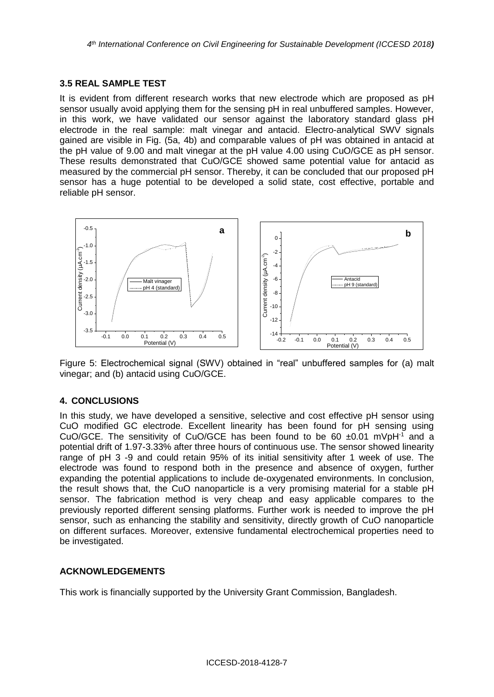### **3.5 REAL SAMPLE TEST**

It is evident from different research works that new electrode which are proposed as pH sensor usually avoid applying them for the sensing pH in real unbuffered samples. However, in this work, we have validated our sensor against the laboratory standard glass pH electrode in the real sample: malt vinegar and antacid. Electro-analytical SWV signals gained are visible in Fig. (5a, 4b) and comparable values of pH was obtained in antacid at the pH value of 9.00 and malt vinegar at the pH value 4.00 using CuO/GCE as pH sensor. These results demonstrated that CuO/GCE showed same potential value for antacid as measured by the commercial pH sensor. Thereby, it can be concluded that our proposed pH sensor has a huge potential to be developed a solid state, cost effective, portable and reliable pH sensor.



Figure 5: Electrochemical signal (SWV) obtained in "real" unbuffered samples for (a) malt vinegar; and (b) antacid using CuO/GCE.

### **4. CONCLUSIONS**

In this study, we have developed a sensitive, selective and cost effective pH sensor using CuO modified GC electrode. Excellent linearity has been found for pH sensing using CuO/GCE. The sensitivity of CuO/GCE has been found to be 60  $\pm$ 0.01 mVpH<sup>-1</sup> and a potential drift of 1.97-3.33% after three hours of continuous use. The sensor showed linearity range of pH 3 -9 and could retain 95% of its initial sensitivity after 1 week of use. The electrode was found to respond both in the presence and absence of oxygen, further expanding the potential applications to include de-oxygenated environments. In conclusion, the result shows that, the CuO nanoparticle is a very promising material for a stable pH sensor. The fabrication method is very cheap and easy applicable compares to the previously reported different sensing platforms. Further work is needed to improve the pH sensor, such as enhancing the stability and sensitivity, directly growth of CuO nanoparticle on different surfaces. Moreover, extensive fundamental electrochemical properties need to be investigated.

### **ACKNOWLEDGEMENTS**

This work is financially supported by the University Grant Commission, Bangladesh.